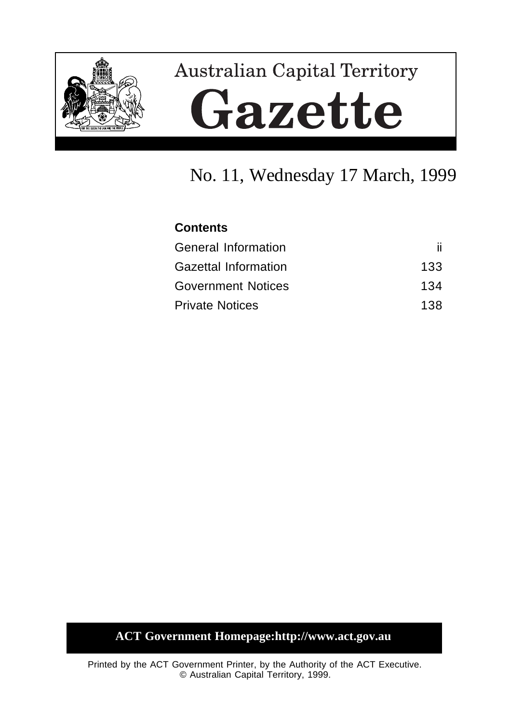

# **Australian Capital Territory** Gazette

# No. 11, Wednesday 17 March, 1999

# **Contents**

| <b>General Information</b>  |     |
|-----------------------------|-----|
| <b>Gazettal Information</b> | 133 |
| <b>Government Notices</b>   | 134 |
| <b>Private Notices</b>      | 138 |

# **ACT Government Homepage:http://www.act.gov.au**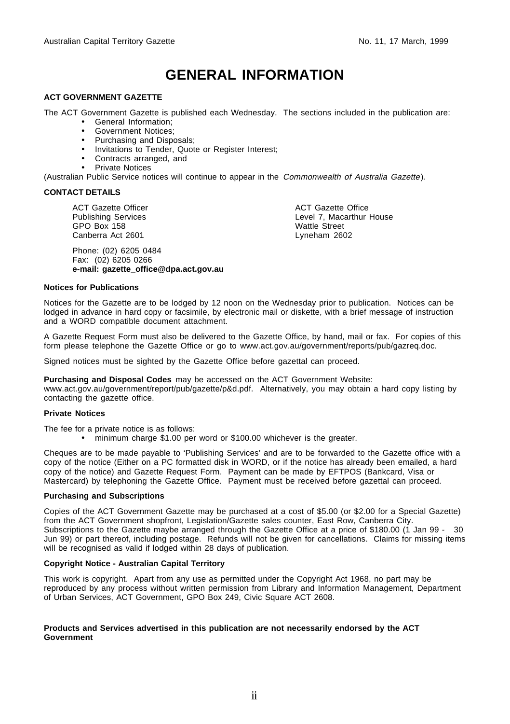# **GENERAL INFORMATION**

#### **ACT GOVERNMENT GAZETTE**

The ACT Government Gazette is published each Wednesday. The sections included in the publication are:

- General Information;
- Government Notices;
- Purchasing and Disposals;
- Invitations to Tender, Quote or Register Interest;
- Contracts arranged, and
- Private Notices

(Australian Public Service notices will continue to appear in the Commonwealth of Australia Gazette).

#### **CONTACT DETAILS**

ACT Gazette Officer Publishing Services GPO Box 158 Canberra Act 2601

Phone: (02) 6205 0484 Fax: (02) 6205 0266 **e-mail: gazette\_office@dpa.act.gov.au** ACT Gazette Office Level 7, Macarthur House Wattle Street Lyneham 2602

#### **Notices for Publications**

Notices for the Gazette are to be lodged by 12 noon on the Wednesday prior to publication. Notices can be lodged in advance in hard copy or facsimile, by electronic mail or diskette, with a brief message of instruction and a WORD compatible document attachment.

A Gazette Request Form must also be delivered to the Gazette Office, by hand, mail or fax. For copies of this form please telephone the Gazette Office or go to www.act.gov.au/government/reports/pub/gazreq.doc.

Signed notices must be sighted by the Gazette Office before gazettal can proceed.

**Purchasing and Disposal Codes** may be accessed on the ACT Government Website:

www.act.gov.au/government/report/pub/gazette/p&d.pdf. Alternatively, you may obtain a hard copy listing by contacting the gazette office.

#### **Private Notices**

The fee for a private notice is as follows:

• minimum charge \$1.00 per word or \$100.00 whichever is the greater.

Cheques are to be made payable to 'Publishing Services' and are to be forwarded to the Gazette office with a copy of the notice (Either on a PC formatted disk in WORD, or if the notice has already been emailed, a hard copy of the notice) and Gazette Request Form. Payment can be made by EFTPOS (Bankcard, Visa or Mastercard) by telephoning the Gazette Office. Payment must be received before gazettal can proceed.

#### **Purchasing and Subscriptions**

Copies of the ACT Government Gazette may be purchased at a cost of \$5.00 (or \$2.00 for a Special Gazette) from the ACT Government shopfront, Legislation/Gazette sales counter, East Row, Canberra City. Subscriptions to the Gazette maybe arranged through the Gazette Office at a price of \$180.00 (1 Jan 99 - 30 Jun 99) or part thereof, including postage. Refunds will not be given for cancellations. Claims for missing items will be recognised as valid if lodged within 28 days of publication.

#### **Copyright Notice - Australian Capital Territory**

This work is copyright. Apart from any use as permitted under the Copyright Act 1968, no part may be reproduced by any process without written permission from Library and Information Management, Department of Urban Services, ACT Government, GPO Box 249, Civic Square ACT 2608.

#### **Products and Services advertised in this publication are not necessarily endorsed by the ACT Government**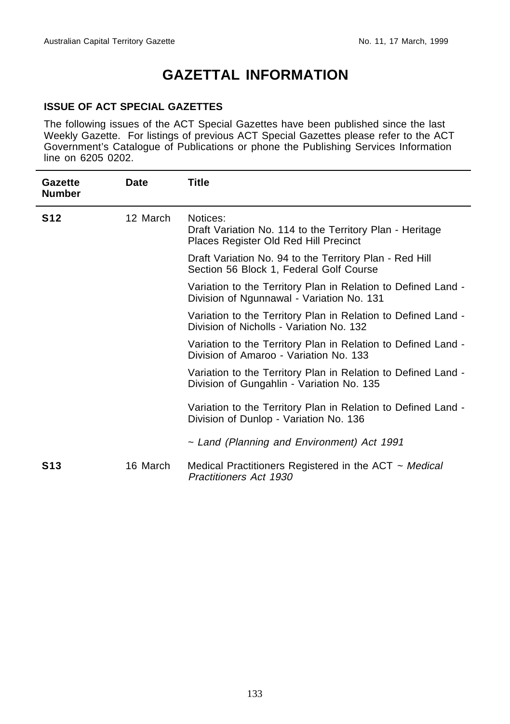# **GAZETTAL INFORMATION**

#### **ISSUE OF ACT SPECIAL GAZETTES**

The following issues of the ACT Special Gazettes have been published since the last Weekly Gazette. For listings of previous ACT Special Gazettes please refer to the ACT Government's Catalogue of Publications or phone the Publishing Services Information line on 6205 0202.

| Gazette<br><b>Number</b> | <b>Date</b> | <b>Title</b>                                                                                                  |
|--------------------------|-------------|---------------------------------------------------------------------------------------------------------------|
| <b>S12</b>               | 12 March    | Notices:<br>Draft Variation No. 114 to the Territory Plan - Heritage<br>Places Register Old Red Hill Precinct |
|                          |             | Draft Variation No. 94 to the Territory Plan - Red Hill<br>Section 56 Block 1, Federal Golf Course            |
|                          |             | Variation to the Territory Plan in Relation to Defined Land -<br>Division of Ngunnawal - Variation No. 131    |
|                          |             | Variation to the Territory Plan in Relation to Defined Land -<br>Division of Nicholls - Variation No. 132     |
|                          |             | Variation to the Territory Plan in Relation to Defined Land -<br>Division of Amaroo - Variation No. 133       |
|                          |             | Variation to the Territory Plan in Relation to Defined Land -<br>Division of Gungahlin - Variation No. 135    |
|                          |             | Variation to the Territory Plan in Relation to Defined Land -<br>Division of Dunlop - Variation No. 136       |
|                          |             | ~ Land (Planning and Environment) Act 1991                                                                    |
| <b>S13</b>               | 16 March    | Medical Practitioners Registered in the ACT $\sim$ Medical<br>Practitioners Act 1930                          |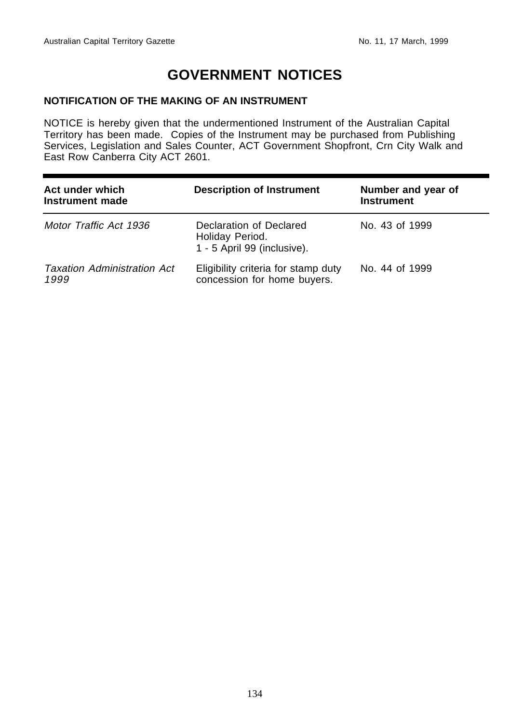# **GOVERNMENT NOTICES**

#### **NOTIFICATION OF THE MAKING OF AN INSTRUMENT**

NOTICE is hereby given that the undermentioned Instrument of the Australian Capital Territory has been made. Copies of the Instrument may be purchased from Publishing Services, Legislation and Sales Counter, ACT Government Shopfront, Crn City Walk and East Row Canberra City ACT 2601.

| Act under which<br>Instrument made         | <b>Description of Instrument</b>                                          | Number and year of<br><b>Instrument</b> |
|--------------------------------------------|---------------------------------------------------------------------------|-----------------------------------------|
| Motor Traffic Act 1936                     | Declaration of Declared<br>Holiday Period.<br>1 - 5 April 99 (inclusive). | No. 43 of 1999                          |
| <b>Taxation Administration Act</b><br>1999 | Eligibility criteria for stamp duty<br>concession for home buyers.        | No. 44 of 1999                          |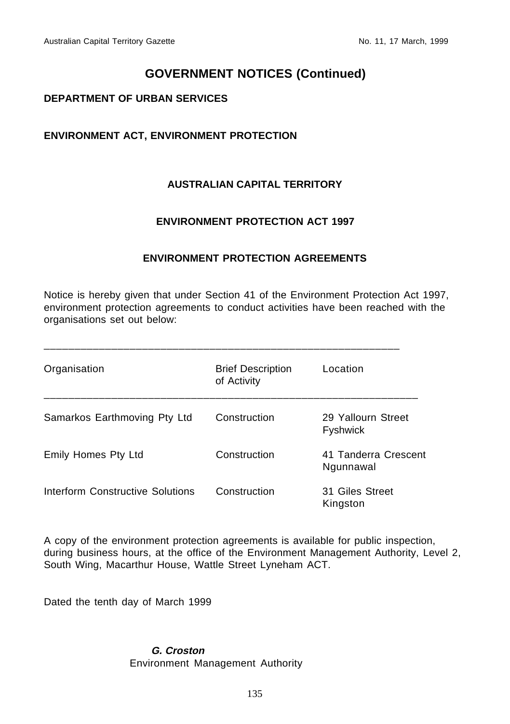# **GOVERNMENT NOTICES (Continued)**

#### **DEPARTMENT OF URBAN SERVICES**

#### **ENVIRONMENT ACT, ENVIRONMENT PROTECTION**

#### **AUSTRALIAN CAPITAL TERRITORY**

#### **ENVIRONMENT PROTECTION ACT 1997**

#### **ENVIRONMENT PROTECTION AGREEMENTS**

Notice is hereby given that under Section 41 of the Environment Protection Act 1997, environment protection agreements to conduct activities have been reached with the organisations set out below:

| Organisation                     | <b>Brief Description</b><br>of Activity | Location                              |
|----------------------------------|-----------------------------------------|---------------------------------------|
| Samarkos Earthmoving Pty Ltd     | Construction                            | 29 Yallourn Street<br><b>Fyshwick</b> |
| Emily Homes Pty Ltd              | Construction                            | 41 Tanderra Crescent<br>Ngunnawal     |
| Interform Constructive Solutions | Construction                            | 31 Giles Street<br>Kingston           |

A copy of the environment protection agreements is available for public inspection, during business hours, at the office of the Environment Management Authority, Level 2, South Wing, Macarthur House, Wattle Street Lyneham ACT.

Dated the tenth day of March 1999

#### **G. Croston** Environment Management Authority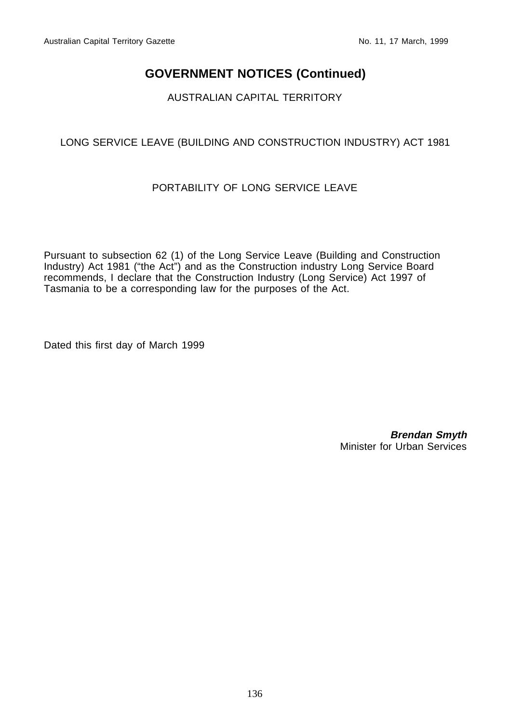# **GOVERNMENT NOTICES (Continued)**

## AUSTRALIAN CAPITAL TERRITORY

## LONG SERVICE LEAVE (BUILDING AND CONSTRUCTION INDUSTRY) ACT 1981

## PORTABILITY OF LONG SERVICE LEAVE

Pursuant to subsection 62 (1) of the Long Service Leave (Building and Construction Industry) Act 1981 ("the Act") and as the Construction industry Long Service Board recommends, I declare that the Construction Industry (Long Service) Act 1997 of Tasmania to be a corresponding law for the purposes of the Act.

Dated this first day of March 1999

**Brendan Smyth** Minister for Urban Services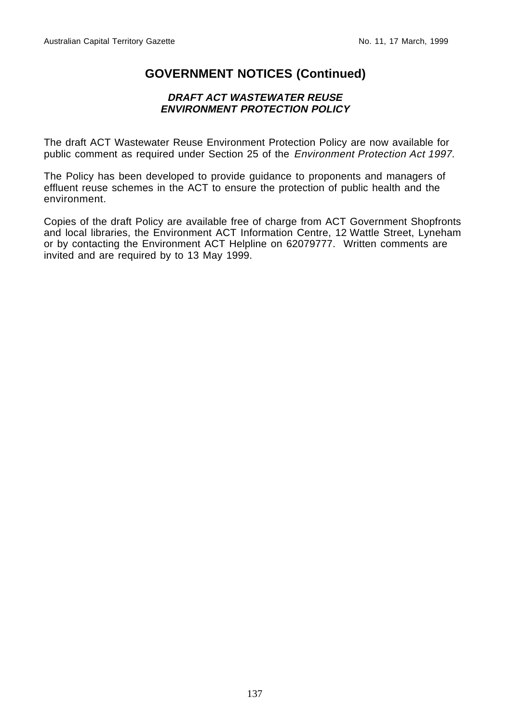# **GOVERNMENT NOTICES (Continued)**

#### **DRAFT ACT WASTEWATER REUSE ENVIRONMENT PROTECTION POLICY**

The draft ACT Wastewater Reuse Environment Protection Policy are now available for public comment as required under Section 25 of the Environment Protection Act 1997.

The Policy has been developed to provide guidance to proponents and managers of effluent reuse schemes in the ACT to ensure the protection of public health and the environment.

Copies of the draft Policy are available free of charge from ACT Government Shopfronts and local libraries, the Environment ACT Information Centre, 12 Wattle Street, Lyneham or by contacting the Environment ACT Helpline on 62079777. Written comments are invited and are required by to 13 May 1999.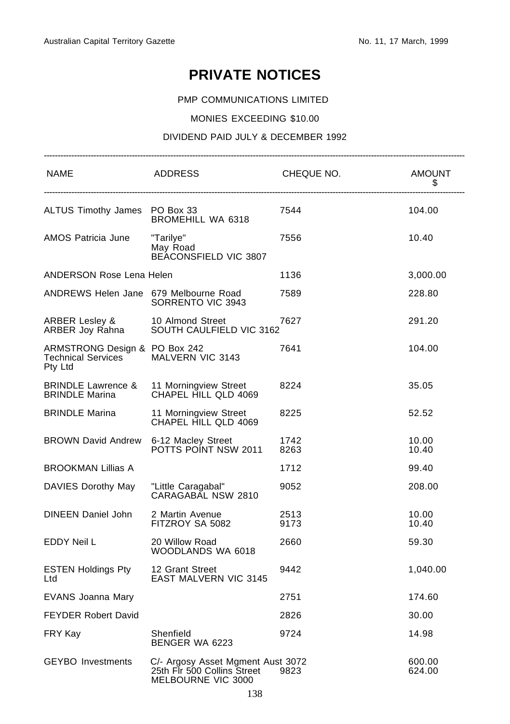# **PRIVATE NOTICES**

#### PMP COMMUNICATIONS LIMITED

#### MONIES EXCEEDING \$10.00

#### DIVIDEND PAID JULY & DECEMBER 1992

| <b>NAME</b>                                                           | ADDRESS                                                                                | CHEQUE NO.   | <b>AMOUNT</b><br>\$ |
|-----------------------------------------------------------------------|----------------------------------------------------------------------------------------|--------------|---------------------|
| ALTUS Timothy James PO Box 33                                         | <b>BROMEHILL WA 6318</b>                                                               | 7544         | 104.00              |
| AMOS Patricia June                                                    | "Tarilye"<br>May Road<br>BEACONSFIELD VIC 3807                                         | 7556         | 10.40               |
| ANDERSON Rose Lena Helen                                              |                                                                                        | 1136         | 3,000.00            |
| ANDREWS Helen Jane 679 Melbourne Road                                 | SORRENTO VIC 3943                                                                      | 7589         | 228.80              |
| ARBER Lesley &<br>ARBER Joy Rahna                                     | 10 Almond Street<br>SOUTH CAULFIELD VIC 3162                                           | 7627         | 291.20              |
| ARMSTRONG Design & PO Box 242<br><b>Technical Services</b><br>Pty Ltd | MALVERN VIC 3143                                                                       | 7641         | 104.00              |
| BRINDLE Lawrence & 11 Morningview Street<br><b>BRINDLE Marina</b>     | CHAPEL HILL QLD 4069                                                                   | 8224         | 35.05               |
| <b>BRINDLE Marina</b>                                                 | 11 Morningview Street<br>CHAPEL HILL QLD 4069                                          | 8225         | 52.52               |
| <b>BROWN David Andrew</b>                                             | 6-12 Macley Street<br>POTTS POINT NSW 2011                                             | 1742<br>8263 | 10.00<br>10.40      |
| <b>BROOKMAN Lillias A</b>                                             |                                                                                        | 1712         | 99.40               |
| DAVIES Dorothy May                                                    | "Little Caragabal"<br>CARAGABAL NSW 2810                                               | 9052         | 208.00              |
| DINEEN Daniel John                                                    | 2 Martin Avenue<br>FITZROY SA 5082                                                     | 2513<br>9173 | 10.00<br>10.40      |
| EDDY Neil L                                                           | 20 Willow Road<br>WOODLANDS WA 6018                                                    | 2660         | 59.30               |
| ESTEN Holdings Pty<br>Ltd                                             | 12 Grant Street<br><b>EAST MALVERN VIC 3145</b>                                        | 9442         | 1,040.00            |
| EVANS Joanna Mary                                                     |                                                                                        | 2751         | 174.60              |
| <b>FEYDER Robert David</b>                                            |                                                                                        | 2826         | 30.00               |
| FRY Kay                                                               | Shenfield<br>BENGER WA 6223                                                            | 9724         | 14.98               |
| <b>GEYBO</b> Investments                                              | C/- Argosy Asset Mgment Aust 3072<br>25th Flr 500 Collins Street<br>MELBOURNE VIC 3000 | 9823         | 600.00<br>624.00    |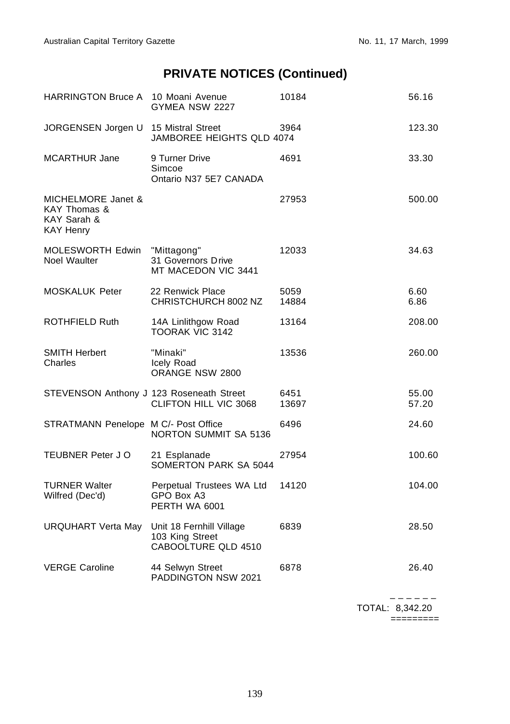| HARRINGTON Bruce A 10 Moani Avenue                                    | GYMEA NSW 2227                                                     | 10184         | 56.16          |
|-----------------------------------------------------------------------|--------------------------------------------------------------------|---------------|----------------|
| JORGENSEN Jorgen U                                                    | 15 Mistral Street<br>JAMBOREE HEIGHTS QLD 4074                     | 3964          | 123.30         |
| <b>MCARTHUR Jane</b>                                                  | 9 Turner Drive<br>Simcoe<br>Ontario N37 5E7 CANADA                 | 4691          | 33.30          |
| MICHELMORE Janet &<br>KAY Thomas &<br>KAY Sarah &<br><b>KAY Henry</b> |                                                                    | 27953         | 500.00         |
| MOLESWORTH Edwin<br>Noel Waulter                                      | "Mittagong"<br>31 Governors Drive<br>MT MACEDON VIC 3441           | 12033         | 34.63          |
| <b>MOSKALUK Peter</b>                                                 | 22 Renwick Place<br>CHRISTCHURCH 8002 NZ                           | 5059<br>14884 | 6.60<br>6.86   |
| ROTHFIELD Ruth                                                        | 14A Linlithgow Road<br><b>TOORAK VIC 3142</b>                      | 13164         | 208.00         |
| <b>SMITH Herbert</b><br>Charles                                       | "Minaki"<br>Icely Road<br>ORANGE NSW 2800                          | 13536         | 260.00         |
| STEVENSON Anthony J 123 Roseneath Street                              | CLIFTON HILL VIC 3068                                              | 6451<br>13697 | 55.00<br>57.20 |
| STRATMANN Penelope M C/- Post Office                                  | <b>NORTON SUMMIT SA 5136</b>                                       | 6496          | 24.60          |
| <b>TEUBNER Peter J O</b>                                              | 21 Esplanade<br>SOMERTON PARK SA 5044                              | 27954         | 100.60         |
| <b>TURNER Walter</b><br>Wilfred (Dec'd)                               | Perpetual Trustees WA Ltd<br>GPO Box A3<br>PERTH WA 6001           | 14120         | 104.00         |
| URQUHART Verta May                                                    | Unit 18 Fernhill Village<br>103 King Street<br>CABOOLTURE QLD 4510 | 6839          | 28.50          |
| <b>VERGE Caroline</b>                                                 | 44 Selwyn Street<br>PADDINGTON NSW 2021                            | 6878          | 26.40          |

 – – – – – – TOTAL: 8,342.20 =========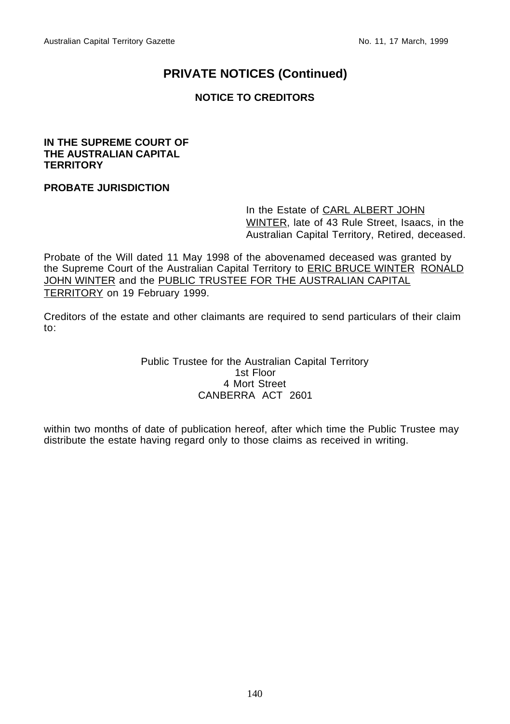## **NOTICE TO CREDITORS**

#### **IN THE SUPREME COURT OF THE AUSTRALIAN CAPITAL TERRITORY**

#### **PROBATE JURISDICTION**

In the Estate of CARL ALBERT JOHN WINTER, late of 43 Rule Street, Isaacs, in the Australian Capital Territory, Retired, deceased.

Probate of the Will dated 11 May 1998 of the abovenamed deceased was granted by the Supreme Court of the Australian Capital Territory to **ERIC BRUCE WINTER RONALD** JOHN WINTER and the PUBLIC TRUSTEE FOR THE AUSTRALIAN CAPITAL TERRITORY on 19 February 1999.

Creditors of the estate and other claimants are required to send particulars of their claim to:

> Public Trustee for the Australian Capital Territory 1st Floor 4 Mort Street CANBERRA ACT 2601

within two months of date of publication hereof, after which time the Public Trustee may distribute the estate having regard only to those claims as received in writing.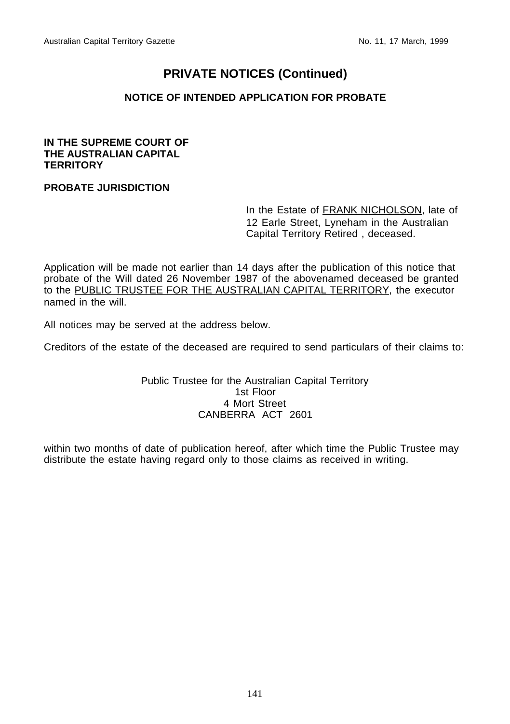#### **NOTICE OF INTENDED APPLICATION FOR PROBATE**

#### **IN THE SUPREME COURT OF THE AUSTRALIAN CAPITAL TERRITORY**

## **PROBATE JURISDICTION**

In the Estate of FRANK NICHOLSON, late of 12 Earle Street, Lyneham in the Australian Capital Territory Retired , deceased.

Application will be made not earlier than 14 days after the publication of this notice that probate of the Will dated 26 November 1987 of the abovenamed deceased be granted to the PUBLIC TRUSTEE FOR THE AUSTRALIAN CAPITAL TERRITORY, the executor named in the will.

All notices may be served at the address below.

Creditors of the estate of the deceased are required to send particulars of their claims to:

Public Trustee for the Australian Capital Territory 1st Floor 4 Mort Street CANBERRA ACT 2601

within two months of date of publication hereof, after which time the Public Trustee may distribute the estate having regard only to those claims as received in writing.